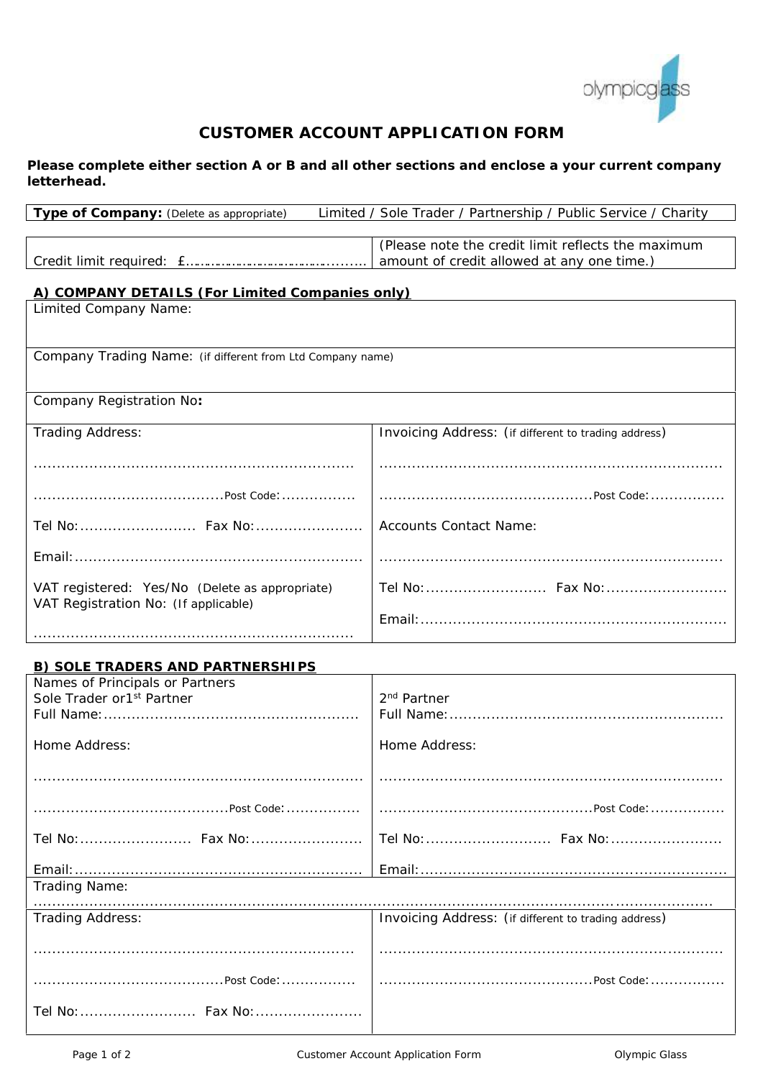

# **CUSTOMER ACCOUNT APPLICATION FORM**

*Please complete either section A or B and all other sections and enclose a your current company letterhead.*

| Type of Company: (Delete as appropriate)                                   | Limited / Sole Trader / Partnership / Public Service / Charity |  |  |
|----------------------------------------------------------------------------|----------------------------------------------------------------|--|--|
|                                                                            | (Please note the credit limit reflects the maximum             |  |  |
|                                                                            | amount of credit allowed at any one time.)                     |  |  |
|                                                                            |                                                                |  |  |
| A) COMPANY DETAILS (For Limited Companies only)<br>Limited Company Name:   |                                                                |  |  |
|                                                                            |                                                                |  |  |
|                                                                            |                                                                |  |  |
| Company Trading Name: (if different from Ltd Company name)                 |                                                                |  |  |
| Company Registration No:                                                   |                                                                |  |  |
|                                                                            |                                                                |  |  |
| Trading Address:                                                           | Invoicing Address: (if different to trading address)           |  |  |
|                                                                            |                                                                |  |  |
|                                                                            |                                                                |  |  |
|                                                                            |                                                                |  |  |
|                                                                            | <b>Accounts Contact Name:</b>                                  |  |  |
|                                                                            |                                                                |  |  |
|                                                                            |                                                                |  |  |
| VAT registered: Yes/No (Delete as appropriate)                             |                                                                |  |  |
| VAT Registration No: (If applicable)                                       |                                                                |  |  |
|                                                                            |                                                                |  |  |
|                                                                            |                                                                |  |  |
| <b>B) SOLE TRADERS AND PARTNERSHIPS</b><br>Names of Principals or Partners |                                                                |  |  |
| Sole Trader or1 <sup>st</sup> Partner                                      | 2 <sup>nd</sup> Partner                                        |  |  |
|                                                                            |                                                                |  |  |
| Home Address:                                                              | Home Address:                                                  |  |  |
|                                                                            |                                                                |  |  |
|                                                                            |                                                                |  |  |
| .Post Code:                                                                |                                                                |  |  |
| Tel No:  Fax No:                                                           |                                                                |  |  |
|                                                                            |                                                                |  |  |
|                                                                            |                                                                |  |  |
| Trading Name:                                                              |                                                                |  |  |
| Trading Address:                                                           | Invoicing Address: (if different to trading address)           |  |  |
|                                                                            |                                                                |  |  |
|                                                                            |                                                                |  |  |
|                                                                            |                                                                |  |  |
|                                                                            |                                                                |  |  |
|                                                                            |                                                                |  |  |